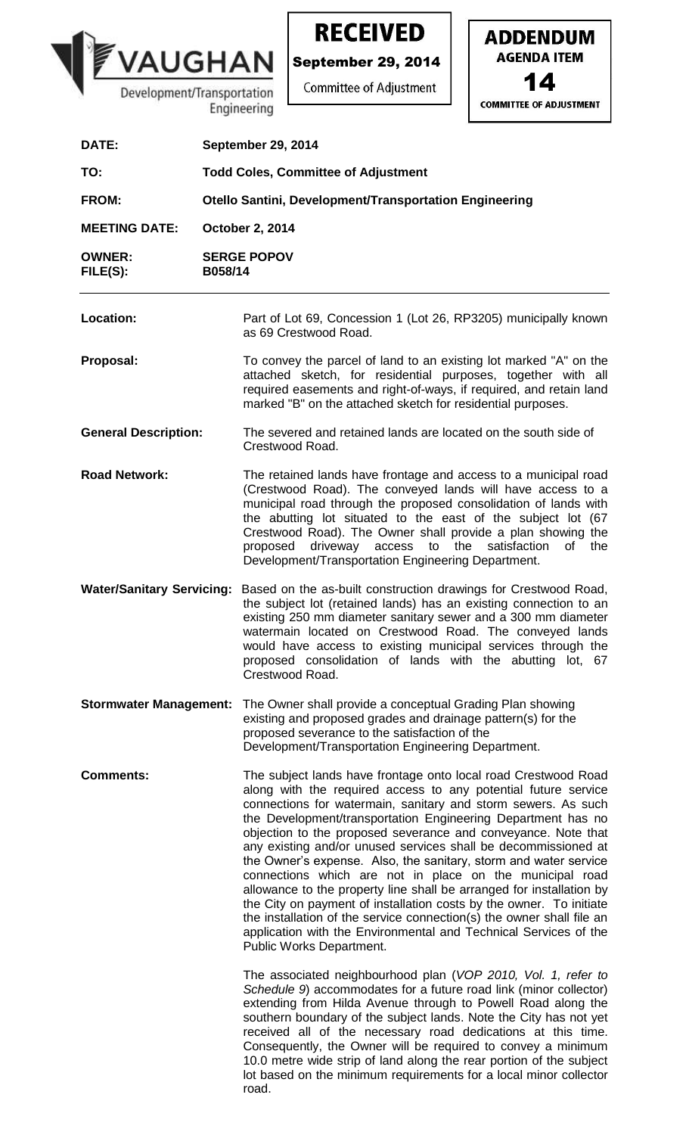

**RECEIVED** 

**ADDENDUM** 

**AGENDA ITEM** 

14

**COMMITTEE OF ADJUSTMENT** 

**September 29, 2014 Committee of Adjustment**